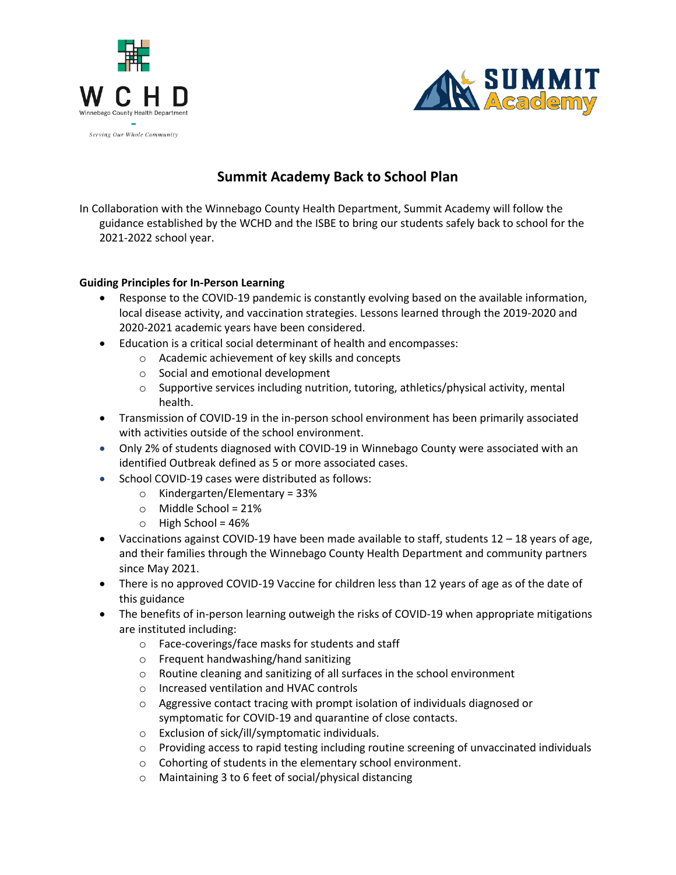



# **Summit Academy Back to School Plan**

In Collaboration with the Winnebago County Health Department, Summit Academy will follow the guidance established by the WCHD and the ISBE to bring our students safely back to school for the 2021-2022 school year.

## **Guiding Principles for In-Person Learning**

- Response to the COVID-19 pandemic is constantly evolving based on the available information, local disease activity, and vaccination strategies. Lessons learned through the 2019-2020 and 2020-2021 academic years have been considered.
- Education is a critical social determinant of health and encompasses:
	- o Academic achievement of key skills and concepts
	- o Social and emotional development
	- $\circ$  Supportive services including nutrition, tutoring, athletics/physical activity, mental health.
- Transmission of COVID-19 in the in-person school environment has been primarily associated with activities outside of the school environment.
- Only 2% of students diagnosed with COVID-19 in Winnebago County were associated with an identified Outbreak defined as 5 or more associated cases.
- School COVID-19 cases were distributed as follows:
	- $\circ$  Kindergarten/Elementary = 33%
	- $\circ$  Middle School = 21%
	- $\circ$  High School = 46%
- Vaccinations against COVID-19 have been made available to staff, students  $12 18$  years of age, and their families through the Winnebago County Health Department and community partners since May 2021.
- There is no approved COVID-19 Vaccine for children less than 12 years of age as of the date of this guidance
- The benefits of in-person learning outweigh the risks of COVID-19 when appropriate mitigations are instituted including:
	- o Face-coverings/face masks for students and staff
	- o Frequent handwashing/hand sanitizing
	- o Routine cleaning and sanitizing of all surfaces in the school environment
	- o Increased ventilation and HVAC controls
	- $\circ$  Aggressive contact tracing with prompt isolation of individuals diagnosed or symptomatic for COVID-19 and quarantine of close contacts.
	- o Exclusion of sick/ill/symptomatic individuals.
	- o Providing access to rapid testing including routine screening of unvaccinated individuals
	- o Cohorting of students in the elementary school environment.
	- o Maintaining 3 to 6 feet of social/physical distancing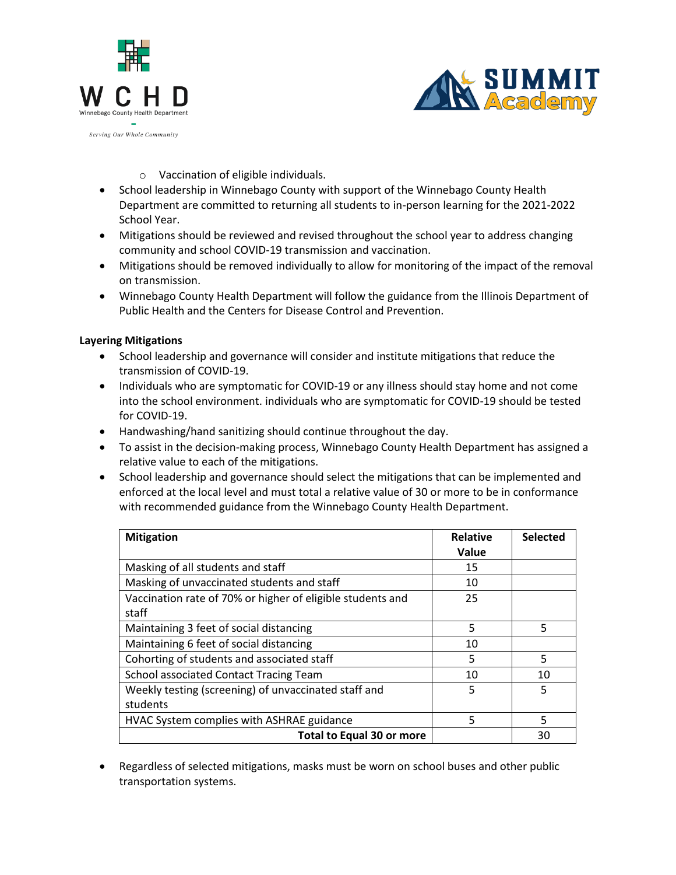



- o Vaccination of eligible individuals.
- School leadership in Winnebago County with support of the Winnebago County Health Department are committed to returning all students to in-person learning for the 2021-2022 School Year.
- Mitigations should be reviewed and revised throughout the school year to address changing community and school COVID-19 transmission and vaccination.
- Mitigations should be removed individually to allow for monitoring of the impact of the removal on transmission.
- Winnebago County Health Department will follow the guidance from the Illinois Department of Public Health and the Centers for Disease Control and Prevention.

### **Layering Mitigations**

- School leadership and governance will consider and institute mitigations that reduce the transmission of COVID-19.
- Individuals who are symptomatic for COVID-19 or any illness should stay home and not come into the school environment. individuals who are symptomatic for COVID-19 should be tested for COVID-19.
- Handwashing/hand sanitizing should continue throughout the day.
- To assist in the decision-making process, Winnebago County Health Department has assigned a relative value to each of the mitigations.
- School leadership and governance should select the mitigations that can be implemented and enforced at the local level and must total a relative value of 30 or more to be in conformance with recommended guidance from the Winnebago County Health Department.

| <b>Mitigation</b>                                                   | <b>Relative</b><br>Value | <b>Selected</b> |
|---------------------------------------------------------------------|--------------------------|-----------------|
| Masking of all students and staff                                   | 15                       |                 |
| Masking of unvaccinated students and staff                          | 10                       |                 |
| Vaccination rate of 70% or higher of eligible students and<br>staff | 25                       |                 |
| Maintaining 3 feet of social distancing                             | 5                        | 5               |
| Maintaining 6 feet of social distancing                             | 10                       |                 |
| Cohorting of students and associated staff                          | 5                        | 5               |
| <b>School associated Contact Tracing Team</b>                       | 10                       | 10              |
| Weekly testing (screening) of unvaccinated staff and<br>students    | 5                        | 5               |
| HVAC System complies with ASHRAE guidance                           | 5                        | 5               |
| <b>Total to Equal 30 or more</b>                                    |                          | 30              |

 Regardless of selected mitigations, masks must be worn on school buses and other public transportation systems.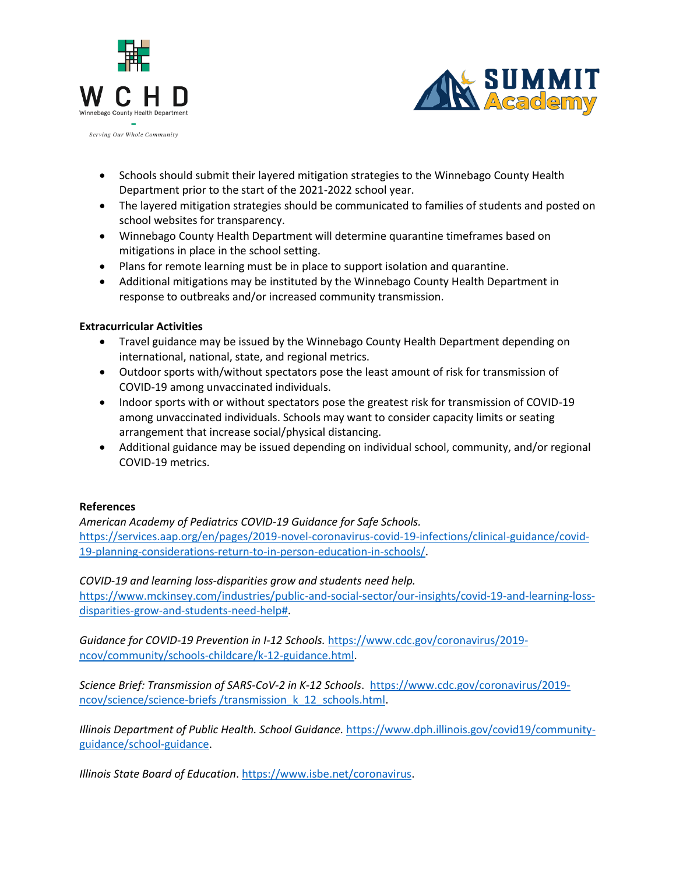



- Schools should submit their layered mitigation strategies to the Winnebago County Health Department prior to the start of the 2021-2022 school year.
- The layered mitigation strategies should be communicated to families of students and posted on school websites for transparency.
- Winnebago County Health Department will determine quarantine timeframes based on mitigations in place in the school setting.
- Plans for remote learning must be in place to support isolation and quarantine.
- Additional mitigations may be instituted by the Winnebago County Health Department in response to outbreaks and/or increased community transmission.

## **Extracurricular Activities**

- Travel guidance may be issued by the Winnebago County Health Department depending on international, national, state, and regional metrics.
- Outdoor sports with/without spectators pose the least amount of risk for transmission of COVID-19 among unvaccinated individuals.
- Indoor sports with or without spectators pose the greatest risk for transmission of COVID-19 among unvaccinated individuals. Schools may want to consider capacity limits or seating arrangement that increase social/physical distancing.
- Additional guidance may be issued depending on individual school, community, and/or regional COVID-19 metrics.

#### **References**

*American Academy of Pediatrics COVID-19 Guidance for Safe Schools.*  [https://services.aap.org/en/pages/2019-novel-coronavirus-covid-19-infections/clinical-guidance/covid-](https://services.aap.org/en/pages/2019-novel-coronavirus-covid-19-infections/clinical-guidance/covid-19-planning-considerations-return-to-in-person-education-in-schools/)[19-planning-considerations-return-to-in-person-education-in-schools/.](https://services.aap.org/en/pages/2019-novel-coronavirus-covid-19-infections/clinical-guidance/covid-19-planning-considerations-return-to-in-person-education-in-schools/)

*COVID-19 and learning loss-disparities grow and students need help.*  [https://www.mckinsey.com/industries/public-and-social-sector/our-insights/covid-19-and-learning-loss](https://www.mckinsey.com/industries/public-and-social-sector/our-insights/covid-19-and-learning-loss-disparities-grow-and-students-need-help)[disparities-grow-and-students-need-help#.](https://www.mckinsey.com/industries/public-and-social-sector/our-insights/covid-19-and-learning-loss-disparities-grow-and-students-need-help)

*Guidance for COVID-19 Prevention in I-12 Schools.* [https://www.cdc.gov/coronavirus/2019](https://www.cdc.gov/coronavirus/2019-ncov/community/schools-childcare/k-12-guidance.html) [ncov/community/schools-childcare/k-12-guidance.html.](https://www.cdc.gov/coronavirus/2019-ncov/community/schools-childcare/k-12-guidance.html)

*Science Brief: Transmission of SARS-CoV-2 in K-12 Schools*. [https://www.cdc.gov/coronavirus/2019](https://www.cdc.gov/coronavirus/2019-ncov/science/science-briefs%20/transmission_k_12_schools.html) [ncov/science/science-briefs /transmission\\_k\\_12\\_schools.html.](https://www.cdc.gov/coronavirus/2019-ncov/science/science-briefs%20/transmission_k_12_schools.html)

*Illinois Department of Public Health. School Guidance.* [https://www.dph.illinois.gov/covid19/community](https://www.dph.illinois.gov/covid19/community-guidance/school-guidance)[guidance/school-guidance.](https://www.dph.illinois.gov/covid19/community-guidance/school-guidance)

*Illinois State Board of Education*. [https://www.isbe.net/coronavirus.](https://www.isbe.net/coronavirus)